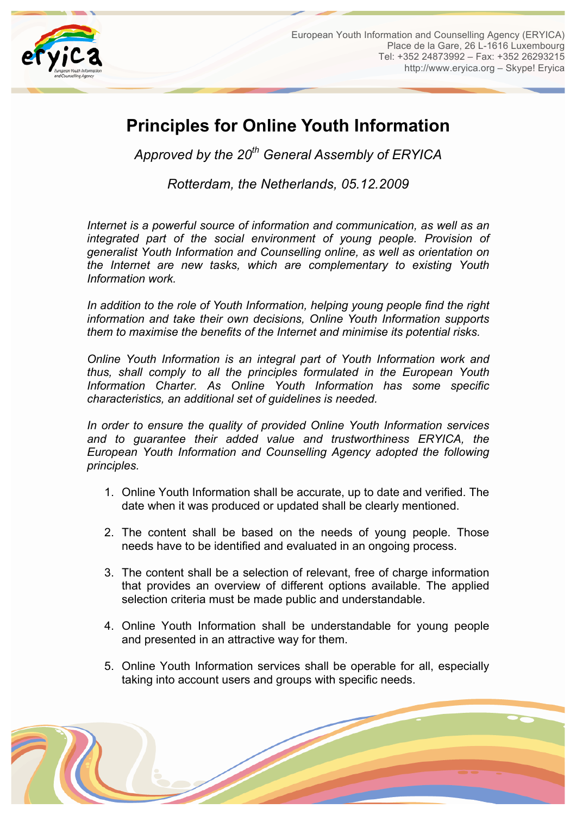

## **Principles for Online Youth Information**

*Approved by the 20th General Assembly of ERYICA*

*Rotterdam, the Netherlands, 05.12.2009*

*Internet is a powerful source of information and communication, as well as an integrated part of the social environment of young people. Provision of generalist Youth Information and Counselling online, as well as orientation on the Internet are new tasks, which are complementary to existing Youth Information work.*

*In addition to the role of Youth Information, helping young people find the right information and take their own decisions, Online Youth Information supports them to maximise the benefits of the Internet and minimise its potential risks.*

*Online Youth Information is an integral part of Youth Information work and thus, shall comply to all the principles formulated in the European Youth Information Charter. As Online Youth Information has some specific characteristics, an additional set of guidelines is needed.*

*In order to ensure the quality of provided Online Youth Information services and to guarantee their added value and trustworthiness ERYICA, the European Youth Information and Counselling Agency adopted the following principles.*

- 1. Online Youth Information shall be accurate, up to date and verified. The date when it was produced or updated shall be clearly mentioned.
- 2. The content shall be based on the needs of young people. Those needs have to be identified and evaluated in an ongoing process.
- 3. The content shall be a selection of relevant, free of charge information that provides an overview of different options available. The applied selection criteria must be made public and understandable.
- 4. Online Youth Information shall be understandable for young people and presented in an attractive way for them.
- 5. Online Youth Information services shall be operable for all, especially taking into account users and groups with specific needs.